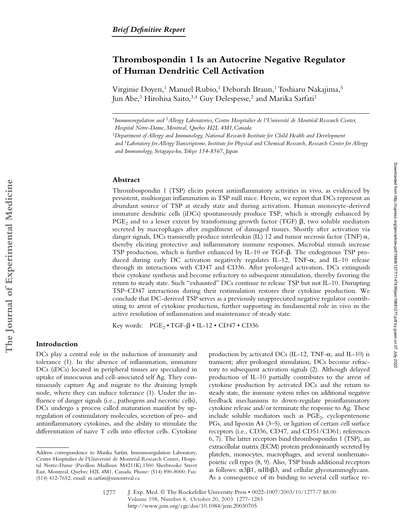# **Thrombospondin 1 Is an Autocrine Negative Regulator of Human Dendritic Cell Activation**

Virginie Doyen,<sup>1</sup> Manuel Rubio,<sup>1</sup> Deborah Braun,<sup>1</sup> Toshiaru Nakajima,<sup>3</sup> Jun Abe,<sup>3</sup> Hirohisa Saito,<sup>3,4</sup> Guy Delespesse,<sup>2</sup> and Marika Sarfati<sup>1</sup>

<sup>1</sup>*Immunoregulation and* <sup>2</sup>*Allergy Laboratories, Centre Hospitalier de l'Université de Montréal Research Center, Hospital Notre-Dame, Montreal, Quebec H2L 4M1,Canada*

#### **Abstract**

Thrombospondin 1 (TSP) elicits potent antiinflammatory activities in vivo, as evidenced by persistent, multiorgan inflammation in TSP null mice. Herein, we report that DCs represent an abundant source of TSP at steady state and during activation. Human monocyte-derived immature dendritic cells (iDCs) spontaneously produce TSP, which is strongly enhanced by  $\mathrm{PGE}_2$  and to a lesser extent by transforming growth factor (TGF)  $\beta$ , two soluble mediators secreted by macrophages after engulfment of damaged tissues. Shortly after activation via danger signals, DCs transiently produce interleukin (IL) 12 and tumor necrosis factor (TNF)  $\alpha$ , thereby eliciting protective and inflammatory immune responses. Microbial stimuli increase TSP production, which is further enhanced by IL-10 or TGF- $\beta$ . The endogenous TSP produced during early DC activation negatively regulates IL-12, TNF- $\alpha$ , and IL-10 release through its interactions with CD47 and CD36. After prolonged activation, DCs extinguish their cytokine synthesis and become refractory to subsequent stimulation, thereby favoring the return to steady state. Such "exhausted" DCs continue to release TSP but not IL-10. Disrupting TSP–CD47 interactions during their restimulation restores their cytokine production. We conclude that DC-derived TSP serves as a previously unappreciated negative regulator contributing to arrest of cytokine production, further supporting its fundamental role in vivo in the active resolution of inflammation and maintenance of steady state.

Key words:  $PGE_2 \cdot TGF - \beta \cdot IL - 12 \cdot CD47 \cdot CD36$ 

## **Introduction**

DCs play a central role in the induction of immunity and tolerance (1). In the absence of inflammation, immature DCs (iDCs) located in peripheral tissues are specialized in uptake of innocuous and cell-associated self Ag. They continuously capture Ag and migrate to the draining lymph node, where they can induce tolerance (1). Under the influence of danger signals (i.e., pathogens and necrotic cells), DCs undergo a process called maturation manifest by upregulation of costimulatory molecules, secretion of pro- and antiinflammatory cytokines, and the ability to stimulate the differentiation of naive T cells into effector cells. Cytokine

production by activated DCs (IL-12, TNF- $\alpha$ , and IL-10) is transient; after prolonged stimulation, DCs become refractory to subsequent activation signals (2). Although delayed production of IL-10 partially contributes to the arrest of cytokine production by activated DCs and the return to steady state, the immune system relies on additional negative feedback mechanisms to down-regulate proinflammatory cytokine release and/or terminate the response to Ag. These include soluble mediators such as  $PGE<sub>2</sub>$ , cyclopentenone PGs, and lipoxin A4 (3–5), or ligation of certain cell surface receptors (i.e., CD36, CD47, and CD51/CD61; references 6, 7). The latter receptors bind thrombospondin 1 (TSP), an extracellular matrix (ECM) protein predominantly secreted by platelets, monocytes, macrophages, and several nonhematopoietic cell types (8, 9). Also, TSP binds additional receptors as follows:  $\alpha$ 3 $\beta$ 1,  $\alpha$ IIb $\beta$ 3, and cellular glycosaminoglycans. As a consequence of its binding to several cell surface re-

<sup>3</sup>*Department of Allergy and Immunology, National Research Institute for Child Health and Development and* <sup>4</sup>*Laboratory for Allergy Transcriptome, Institute for Physical and Chemical Research, Research Center for Allergy and Immunology, Setagaya-ku, Tokyo 154-8567, Japan*

Address correspondence to Marika Sarfati, Immunoregulation Laboratory, Centre Hospitalier de l'Université de Montréal Research Center, Hospital Notre-Dame (Pavillon Mailloux M4211K),1560 Sherbrooke Street East, Montreal, Quebec H2L 4M1, Canada. Phone: (514) 890-8000; Fax: (514) 412-7652; email: m.sarfati@umontreal.ca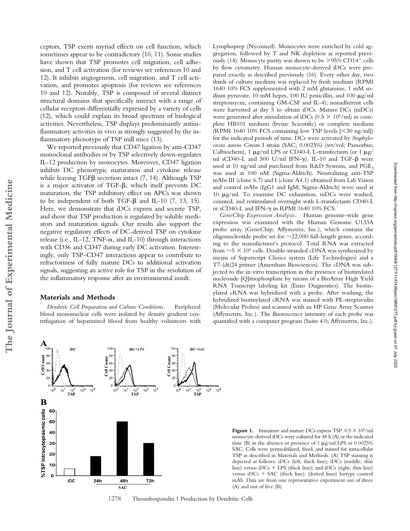The Journal of Experimental Medicine

ceptors, TSP exerts myriad effects on cell function, which sometimes appear to be contradictory (10, 11). Some studies have shown that TSP promotes cell migration, cell adhesion, and T cell activation (for reviews see references 10 and 12). It inhibits angiogenesis, cell migration, and T cell activation, and promotes apoptosis (for reviews see references 10 and 12). Notably, TSP is composed of several distinct structural domains that specifically interact with a range of cellular receptors differentially expressed by a variety of cells (12), which could explain its broad spectrum of biological activities. Nevertheless, TSP displays predominantly antiinflammatory activities in vivo as strongly suggested by the inflammatory phenotype of TSP null mice (13).

We reported previously that CD47 ligation by anti-CD47 monoclonal antibodies or by TSP selectively down-regulates IL-12 production by monocytes. Moreover, CD47 ligation inhibits DC phenotypic maturation and cytokine release while leaving TGF<sub>B</sub> secretion intact (7, 14). Although TSP is a major activator of TGF- $\beta$ , which itself prevents DC maturation, the TSP inhibitory effect on APCs was shown to be independent of both TGF- $\beta$  and IL-10 (7, 13, 15). Here, we demonstrate that iDCs express and secrete TSP, and show that TSP production is regulated by soluble mediators and maturation signals. Our results also support the negative regulatory effects of DC-derived TSP on cytokine release (i.e., IL-12, TNF- $\alpha$ , and IL-10) through interactions with CD36 and CD47 during early DC activation. Interestingly, only TSP–CD47 interactions appear to contribute to refractoriness of fully mature DCs to additional activation signals, suggesting an active role for TSP in the resolution of the inflammatory response after an environmental insult.

### **Materials and Methods**

*Dendritic Cell Preparation and Culture Conditions.* Peripheral blood mononuclear cells were isolated by density gradient centrifugation of heparinized blood from healthy volunteers with Lymphoprep (Nycomed). Monocytes were enriched by cold aggregation, followed by T and NK depletion as reported previously (14). Monocyte purity was shown to be  $>95\%$  CD14<sup>+</sup> cells by flow cytometry. Human monocyte-derived iDCs were prepared exactly as described previously (16). Every other day, two thirds of culture medium was replaced by fresh medium (RPMI 1640 10% FCS supplemented with 2 mM glutamine, 1 mM sodium pyruvate, 10 mM hepes, 100 IU penicillin, and 100  $\mu$ g/ml streptomycin, containing GM-CSF and IL-4); nonadherent cells were harvested at day 5 to obtain iDCs. Mature DCs (mDCs) were generated after stimulation of iDCs ( $0.5 \times 10^6$ /ml) in complete HB101 medium (Irvine Scientific) or complete medium (RPMI 1640 10% FCS containing low TSP levels  $\leq 30$  ng/ml]) for the indicated periods of time. DCs were activated by *Staphylococcus aureus Cowan* I strain (SAC; 0.0025%) (wt/vol; Pansorbin; Calbiochem), 1  $\mu$ g/ml LPS or CD40-L L-transfectants (or 1  $\mu$ g/ ml sCD40-L and 500 U/ml IFN- $\gamma$ ). IL-10 and TGF- $\beta$  were used at 10 ng/ml and purchased from R&D Systems, and PGE<sub>2</sub> was used at 100 nM (Sigma-Aldrich). Neutralizing anti-TSP mAbs III (clone 6.7) and I (clone A4.1) obtained from Lab Vision and control mAbs (IgG1 and IgM; Sigma-Aldrich) were used at 10  $\mu$ g/ml. To examine DC exhaustion, mDCs were washed, counted, and restimulated overnight with L-transfectants CD40-L or sCD40-L and IFN- $\gamma$  in RPMI 1640 10% FCS.

*GeneChip Expression Analysis.* Human genome-wide gene expression was examined with the Human Genome U133A probe array (GeneChip; Affymetrix, Inc.), which contains the oligonucleotide probe set for  $\sim$ 22,000 full-length genes, according to the manufacturer's protocol. Total RNA was extracted from  $\sim$  5  $\times$  10<sup>6</sup> cells. Double-stranded cDNA was synthesized by means of Superscript Choice system (Life Technologies) and a T7-(dt)24 primer (Amersham Biosciences). The cDNA was subjected to the in vitro transcription in the presence of biotinylated nucleoside [Q]triophosphate by means of a BioArray High Yield RNA Transcript labeling kit (Enzo Diagnostics). The biotinylated cRNA was hybridized with a probe. After washing, the hybridized biotinylated cRNA was stained with PE-streptavidin (Molecular Probes) and scanned with an HP Gene Array Scanner (Affymetrix, Inc.). The fluorescence intensity of each probe was quantified with a computer program (Suite 4.0; Affymetrix, Inc.).



**Figure 1.** Immature and mature DCs express TSP.  $0.5 \times 10^6$ /ml monocyte-derived iDCs were cultured for 48 h (A) or the indicated time (B) in the absence or presence of 1  $\mu$ g/ml LPS or 0.0025% SAC. Cells were permeabilized, fixed, and stained for intracellular TSP as described in Materials and Methods. (A) TSP staining is depicted as follows: iDCs (left, thick line); iDCs (middle, thin line) versus  $iDCs + LPS$  (thick line); and  $iDCs$  (right, thin line) versus  $iDCs + SAC$  (thick line). (dotted lines) Isotype control mAb. Data are from one representative experiment out of three (A) and out of five (B).

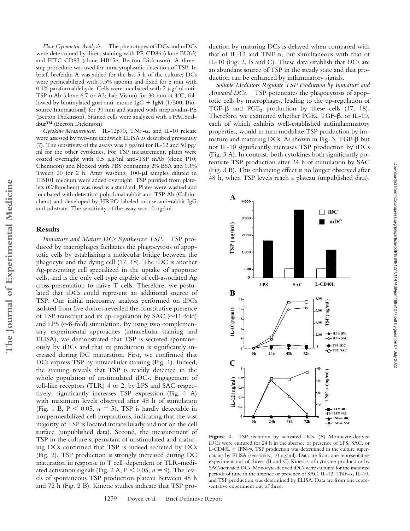*Flow Cytometric Analysis.* The phenotypes of iDCs and mDCs were determined by direct staining with PE-CD86 (clone BU63) and FITC-CD83 (clone HB15e; Becton Dickinson). A threestep procedure was used for intracytoplasmic detection of TSP. In brief, brefeldin A was added for the last 5 h of the culture; DCs were permeabilized with 0.5% saponin and fixed for 5 min with 0.1% paraformaldehyde. Cells were incubated with 2  $\mu$ g/ml anti-TSP mAb (clone 6.7 or A3; Lab Vision) for 30 min at 4°C, followed by biotinylated goat anti-mouse IgG  $+$  IgM (1/500; Biosource International) for 30 min and stained with streptavidin-PE (Becton Dickinson). Stained cells were analyzed with a FACScalibur™ (Becton Dickinson).

 $Cytokine Measurement.$  IL-12p70, TNF- $\alpha$ , and IL-10 release were assessed by two-site sandwich ELISA as described previously (7). The sensitivity of the assays was 6 pg/ml for IL-12 and 50 pg/ ml for the other cytokines. For TSP measurement, plates were coated overnight with  $0.5 \mu g/ml$  anti-TSP mAb (clone P10; Chemicon) and blocked with PBS containing 2% BSA and 0.1% Tween 20 for 2 h. After washing,  $100-\mu l$  samples diluted in HB101 medium were added overnight. TSP purified from platelets (Calbiochem) was used as a standard. Plates were washed and incubated with detection polyclonal rabbit anti-TSP Ab (Calbiochem) and developed by HRPO-labeled mouse anti–rabbit IgG and substrate. The sensitivity of the assay was 10 ng/ml.

# **Results**

*Immature and Mature DCs Synthesize TSP.* TSP produced by macrophages facilitates the phagocytosis of apoptotic cells by establishing a molecular bridge between the phagocyte and the dying cell (17, 18). The iDC is another Ag-presenting cell specialized in the uptake of apoptotic cells, and is the only cell type capable of cell-associated Ag cross-presentation to naive T cells. Therefore, we postulated that iDCs could represent an additional source of TSP. Our initial microarray analysis performed on iDCs isolated from five donors revealed the constitutive presence of TSP transcript and its up-regulation by SAC  $(\sim]11\text{-fold})$ and LPS ( $\sim$ 8-fold) stimulation. By using two complementary experimental approaches (intracellular staining and ELISA), we demonstrated that TSP is secreted spontaneously by iDCs and that its production is significantly increased during DC maturation. First, we confirmed that DCs express TSP by intracellular staining (Fig. 1). Indeed, the staining reveals that TSP is readily detected in the whole population of unstimulated iDCs. Engagement of toll-like receptors (TLR) 4 or 2, by LPS and SAC respectively, significantly increases TSP expression (Fig. 1 A) with maximum levels observed after 48 h of stimulation (Fig. 1 B,  $P < 0.05$ ,  $n = 5$ ). TSP is hardly detectable in nonpermeabilized cell preparations, indicating that the vast majority of TSP is located intracellularly and not on the cell surface (unpublished data). Second, the measurement of TSP in the culture supernatant of unstimulated and maturing DCs confirmed that TSP is indeed secreted by DCs (Fig. 2). TSP production is strongly increased during DC maturation in response to T cell–dependent or TLR-mediated activation signals (Fig. 2 A,  $P < 0.05$ ,  $n = 9$ ). The levels of spontaneous TSP production plateau between 48 h and 72 h (Fig. 2 B). Kinetic studies indicate that TSP production by maturing DCs is delayed when compared with that of IL-12 and TNF- $\alpha$ , but simultaneous with that of IL-10 (Fig. 2, B and C). These data establish that DCs are an abundant source of TSP in the steady state and that production can be enhanced by inflammatory signals.

*Soluble Mediators Regulate TSP Production by Immature and Activated DCs.* TSP potentiates the phagocytosis of apoptotic cells by macrophages, leading to the up-regulation of TGF- $\beta$  and PGE<sub>2</sub> production by these cells (17, 18). Therefore, we examined whether  $PGE_2$ , TGF- $\beta$ , or IL-10, each of which exhibits well-established antiinflammatory properties, would in turn modulate TSP production by immature and maturing DCs. As shown in Fig. 3, TGF- $\beta$  but not IL-10 significantly increases TSP production by iDCs (Fig. 3 A). In contrast, both cytokines both significantly potentiate TSP production after 24 h of stimulation by SAC (Fig. 3 B). This enhancing effect is no longer observed after 48 h, when TSP levels reach a plateau (unpublished data).



Figure 2. TSP secretion by activated DCs. (A) Monocyte-derived iDCs were cultured for 24 h in the absence or presence of LPS, SAC, or L-CD40L  $+$  IFN- $\gamma$ . TSP production was determined in the culture supernatants by ELISA (sensitivity, 10 ng/ml). Data are from one representative experiment out of three. (B and C) Kinetics of cytokine production by SAC-activated DCs. Monocyte-derived iDCs were cultured for the indicated periods of time in the absence or presence of SAC. IL-12, TNF- $\alpha$ , IL-10, and TSP production was determined by ELISA. Data are from one representative experiment out of three.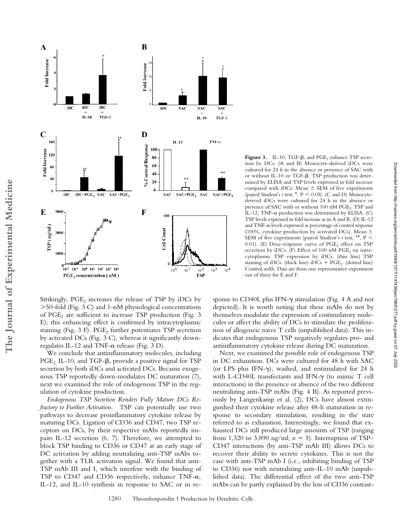

tion by DCs. (A and B) Monocyte-derived iDCs were cultured for 24 h in the absence or presence of SAC with or without IL-10 or TGF- $\beta$ . TSP production was determined by ELISA and TSP levels expressed in fold increase compared with iDCs. Mean  $\pm$  SEM of five experiments (paired Student's  $t$  test;  $^*$ ,  $P < 0.05$ ). (C and D) Monocytederived iDCs were cultured for 24 h in the absence or presence of SAC with or without 100 nM PGE<sub>2</sub>. TSP and IL-12, TNF- $\alpha$  production was determined by ELISA. (C) TSP levels expressed in fold increase as in A and B. (D) IL-12 and TNF- $\alpha$  levels expressed as percentage of control response (100%, cytokine production by activated DCs). Mean  $\pm$ SEM of five experiments (paired Student's *t* test; \*\*, P 0.01). (E) Dose-response curve of  $PGE<sub>2</sub>$  effect on TSP secretion by iDCs. (F) Effect of 100 nM  $PGE_2$  on intracytoplasmic TSP expression by iDCs. (thin line) TSP staining of iDCs. (thick line) iDCs  $+$  PGE<sub>2</sub>. (dotted line) Control mAb. Data are from one representative experiment out of three for E and F.

**Figure 3.** IL-10, TGF- $\beta$ , and  $PGE_2$  enhance TSP secre-

Strikingly, PGE<sub>2</sub> increases the release of TSP by iDCs by 50-fold (Fig. 3 C) and 1-nM physiological concentrations of PGE<sub>2</sub> are sufficient to increase TSP production (Fig. 3) E); this enhancing effect is confirmed by intracytoplasmic staining (Fig.  $3$  F). PGE<sub>2</sub> further potentiates TSP secretion by activated DCs (Fig. 3 C), whereas it significantly downregulates IL-12 and TNF- $\alpha$  release (Fig. 3 D).

**The Journal of Experimental Medicine**

The Journal of Experimental Medicine

We conclude that antiinflammatory molecules, including  $\mathrm{PGE}_{2,}$  IL-10, and TGF- $\beta$ , provide a positive signal for TSP secretion by both iDCs and activated DCs. Because exogenous TSP reportedly down-modulates DC maturation (7), next we examined the role of endogenous TSP in the regulation of cytokine production.

*Endogenous TSP Secretion Renders Fully Mature DCs Refractory to Further Activation.* TSP can potentially use two pathways to decrease proinflammatory cytokine release by maturing DCs. Ligation of CD36 and CD47, two TSP receptors on DCs, by their respective mAbs reportedly impairs IL-12 secretion (6, 7). Therefore, we attempted to block TSP binding to CD36 or CD47 at an early stage of DC activation by adding neutralizing anti-TSP mAbs together with a TLR activation signal. We found that anti-TSP mAb III and I, which interfere with the binding of TSP to CD47 and CD36 respectively, enhance TNF- $\alpha$ , IL-12, and IL-10 synthesis in response to SAC or in re-

sponse to  $CD40L$  plus IFN- $\gamma$  stimulation (Fig. 4 A and not depicted). It is worth noting that these mAbs do not by themselves modulate the expression of costimulatory molecules or affect the ability of DCs to stimulate the proliferation of allogeneic naive T cells (unpublished data). This indicates that endogenous TSP negatively regulates pro- and antiinflammatory cytokine release during DC maturation.

Next, we examined the possible role of endogenous TSP in DC exhaustion. DCs were cultured for 48 h with SAC (or LPS plus IFN- $\gamma$ ), washed, and restimulated for 24 h with L-CD40L transfectants and IFN- $\gamma$  (to mimic T cell interactions) in the presence or absence of the two different neutralizing anti-TSP mAbs (Fig. 4 B). As reported previously by Langenkamp et al. (2), DCs have almost extinguished their cytokine release after 48-h maturation in response to secondary stimulation, resulting in the state referred to as exhaustion. Interestingly, we found that exhausted DCs still produced large amounts of TSP (ranging from 1,320 to 3,890 ng/ml;  $n = 5$ ). Interruption of TSP– CD47 interactions (by anti-TSP mAb III) allows DCs to recover their ability to secrete cytokines. This is not the case with anti-TSP mAb I (i.e., inhibiting binding of TSP to CD36) nor with neutralizing anti–IL-10 mAb (unpublished data). The differential effect of the two anti-TSP mAbs can be partly explained by the loss of CD36 contrast-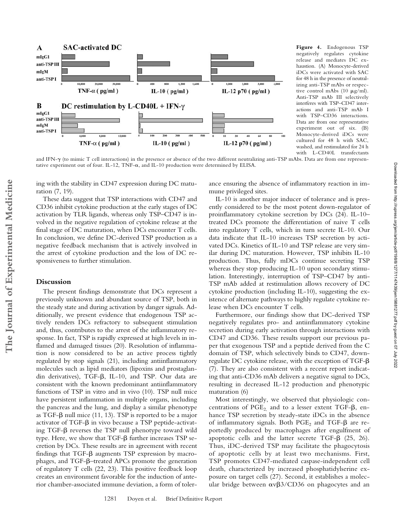

**Figure 4.** Endogenous TSP negatively regulates cytokine release and mediates DC exhaustion. (A) Monocyte-derived iDCs were activated with SAC for 48 h in the presence of neutralizing anti-TSP mAbs or respective control mAbs (10  $\mu$ g/ml). Anti-TSP mAb III selectively interferes with TSP–CD47 interactions and anti-TSP mAb I with TSP–CD36 interactions. Data are from one representative experiment out of six. (B) Monocyte-derived iDCs were cultured for 48 h with SAC, washed, and restimulated for 24 h with L-CD40L transfectants

Downloaded from http://rupress.org/jem/article-pdf/198/8/1277/1147439/jem19881277.pdf by guest on 07 July 2022

Downloaded from http://rupress.org/jem/article-pdf/198/8/1277/1147439/jem19881277.pdf by guest on 07 July 2022

and IFN- $\gamma$  (to mimic T cell interactions) in the presence or absence of the two different neutralizing anti-TSP mAbs. Data are from one representative experiment out of four. IL-12, TNF- $\alpha$ , and IL-10 production were determined by ELISA.

ing with the stability in CD47 expression during DC maturation (7, 19).

These data suggest that TSP interactions with CD47 and CD36 inhibit cytokine production at the early stages of DC activation by TLR ligands, whereas only TSP–CD47 is involved in the negative regulation of cytokine release at the final stage of DC maturation, when DCs encounter T cells. In conclusion, we define DC-derived TSP production as a negative feedback mechanism that is actively involved in the arrest of cytokine production and the loss of DC responsiveness to further stimulation.

## **Discussion**

The present findings demonstrate that DCs represent a previously unknown and abundant source of TSP, both in the steady state and during activation by danger signals. Additionally, we present evidence that endogenous TSP actively renders DCs refractory to subsequent stimulation and, thus, contributes to the arrest of the inflammatory response. In fact, TSP is rapidly expressed at high levels in inflamed and damaged tissues (20). Resolution of inflammation is now considered to be an active process tightly regulated by stop signals (21), including antiinflammatory molecules such as lipid mediators (lipoxins and prostaglandin derivatives), TGF- $\beta$ , IL-10, and TSP. Our data are consistent with the known predominant antiinflammatory functions of TSP in vitro and in vivo (10). TSP null mice have persistent inflammation in multiple organs, including the pancreas and the lung, and display a similar phenotype as TGF- $\beta$  null mice (11, 13). TSP is reported to be a major  $\arctivator$  of TGF- $\beta$  in vivo because a TSP peptide-activating TGF- $\beta$  reverses the TSP null phenotype toward wild type. Here, we show that TGF- $\beta$  further increases TSP secretion by DCs. These results are in agreement with recent findings that TGF- $\beta$  augments TSP expression by macrophages, and TGF- $\beta$ –treated APCs promote the generation of regulatory T cells (22, 23). This positive feedback loop creates an environment favorable for the induction of anterior chamber-associated immune deviation, a form of tolerance ensuring the absence of inflammatory reaction in immune privileged sites.

IL-10 is another major inducer of tolerance and is presently considered to be the most potent down-regulator of proinflammatory cytokine secretion by DCs (24). IL-10– treated DCs promote the differentiation of naive T cells into regulatory T cells, which in turn secrete IL-10. Our data indicate that IL-10 increases TSP secretion by activated DCs. Kinetics of IL-10 and TSP release are very similar during DC maturation. However, TSP inhibits IL-10 production. Thus, fully mDCs continue secreting TSP whereas they stop producing IL-10 upon secondary stimulation. Interestingly, interruption of TSP–CD47 by anti-TSP mAb added at restimulation allows recovery of DC cytokine production (including IL-10), suggesting the existence of alternate pathways to highly regulate cytokine release when DCs encounter T cells.

Furthermore, our findings show that DC-derived TSP negatively regulates pro- and antiinflammatory cytokine secretion during early activation through interactions with CD47 and CD36. These results support our previous paper that exogenous TSP and a peptide derived from the C domain of TSP, which selectively binds to CD47, downregulate DC cytokine release, with the exception of TGF- $\beta$ (7). They are also consistent with a recent report indicating that anti-CD36 mAb delivers a negative signal to DCs, resulting in decreased IL-12 production and phenotypic maturation (6)

Most interestingly, we observed that physiologic concentrations of  $\mathrm{PGE}_{2,}$  and to a lesser extent TGF- $\beta$ , enhance TSP secretion by steady-state iDCs in the absence of inflammatory signals. Both  $PGE_2$  and  $TGF-\beta$  are reportedly produced by macrophages after engulfment of apoptotic cells and the latter secrete TGF- $\beta$  (25, 26). Thus, iDC-derived TSP may facilitate the phagocytosis of apoptotic cells by at least two mechanisms. First, TSP promotes CD47-mediated caspase-independent cell death, characterized by increased phosphatidylserine exposure on target cells (27). Second, it establishes a molecular bridge between  $\alpha v\beta 3$ /CD36 on phagocytes and an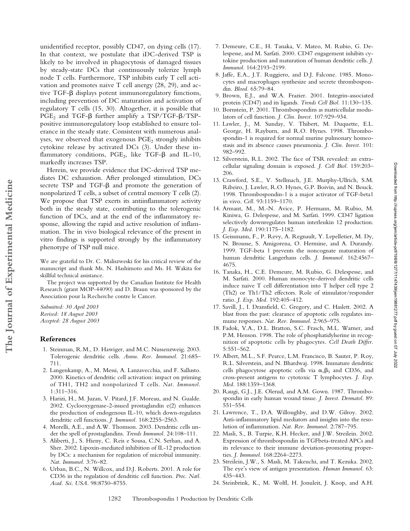unidentified receptor, possibly CD47, on dying cells (17). In that context, we postulate that iDC-derived TSP is likely to be involved in phagocytosis of damaged tissues by steady-state DCs that continuously tolerize lymph node T cells. Furthermore, TSP inhibits early T cell activation and promotes naive T cell anergy (28, 29), and active TGF- $\beta$  displays potent immunoregulatory functions, including prevention of DC maturation and activation of regulatory T cells (15, 30). Altogether, it is possible that  $PGE_2$  and  $TGF-\beta$  further amplify a  $TSP/TGF-\beta/TSP$ positive immunoregulatory loop established to ensure tolerance in the steady state. Consistent with numerous analyses, we observed that exogenous PGE<sub>2</sub> strongly inhibits cytokine release by activated DCs (3). Under these inflammatory conditions,  $PGE_2$ , like  $TGF-\beta$  and IL-10, markedly increases TSP.

Herein, we provide evidence that DC-derived TSP mediates DC exhaustion. After prolonged stimulation, DCs secrete TSP and TGF- $\beta$  and promote the generation of nonpolarized T cells, a subset of central memory T cells (2). We propose that TSP exerts its antiinflammatory activity both in the steady state, contributing to the tolerogenic function of DCs, and at the end of the inflammatory response, allowing the rapid and active resolution of inflammation. The in vivo biological relevance of the present in vitro findings is supported strongly by the inflammatory phenotype of TSP null mice.

We are grateful to Dr. C. Maliszweski for his critical review of the manuscript and thank Ms. N. Hashimoto and Ms. H. Wakita for skillful technical assistance.

The project was supported by the Canadian Institute for Health Research (grant MOP-44090) and D. Braun was sponsored by the Association pour la Recherche contre le Cancer.

*Submitted: 30 April 2003 Revised: 18 August 2003 Accepted: 28 August 2003*

#### **References**

- 1. Steinman, R.M., D. Hawiger, and M.C. Nussenzweig. 2003. Tolerogenic dendritic cells. *Annu. Rev. Immunol.* 21:685– 711.
- 2. Langenkamp, A., M. Messi, A. Lanzavecchia, and F. Sallusto. 2000. Kinetics of dendritic cell activation: impact on priming of TH1, TH2 and nonpolarized T cells. *Nat. Immunol.* 1:311–316.
- 3. Harizi, H., M. Juzan, V. Pitard, J.F. Moreau, and N. Gualde. 2002. Cyclooxygenase-2-issued prostaglandin e(2) enhances the production of endogenous IL-10, which down-regulates dendritic cell functions. *J. Immunol.* 168:2255–2563.
- 4. Morelli, A.E., and A.W. Thomson. 2003. Dendritic cells under the spell of prostaglandins. *Trends Immunol.* 24:108–111.
- 5. Aliberti, J., S. Hieny, C. Reis e Sousa, C.N. Serhan, and A. Sher. 2002. Lipoxin-mediated inhibition of IL-12 production by DCs: a mechanism for regulation of microbial immunity. *Nat. Immunol.* 3:76–82.
- 6. Urban, B.C., N. Willcox, and D.J. Roberts. 2001. A role for CD36 in the regulation of dendritic cell function. *Proc. Natl. Acad. Sci. USA.* 98:8750–8755.
- 7. Demeure, C.E., H. Tanaka, V. Mateo, M. Rubio, G. Delespesse, and M. Sarfati. 2000. CD47 engagement inhibits cytokine production and maturation of human dendritic cells. *J. Immunol.* 164:2193–2199.
- 8. Jaffe, E.A., J.T. Ruggiero, and D.J. Falcone. 1985. Monocytes and macrophages synthesize and secrete thrombospondin. *Blood.* 65:79–84.
- 9. Brown, E.J., and W.A. Frazier. 2001. Integrin-associated protein (CD47) and its ligands. *Trends Cell Biol.* 11:130–135.
- 10. Bornstein, P. 2001. Thrombospondins as matricellular modulators of cell function. *J. Clin. Invest.* 107:929–934.
- 11. Lawler, J., M. Sunday, V. Thibert, M. Duquette, E.L. George, H. Rayburn, and R.O. Hynes. 1998. Thrombospondin-1 is required for normal murine pulmonary homeostasis and its absence causes pneumonia. *J. Clin. Invest.* 101: 982–992.
- 12. Silverstein, R.L. 2002. The face of TSR revealed: an extracellular signaling domain is exposed. *J. Cell Biol.* 159:203– 206.
- 13. Crawford, S.E., V. Stellmach, J.E. Murphy-Ullrich, S.M. Ribeiro, J. Lawler, R.O. Hynes, G.P. Boivin, and N. Bouck. 1998. Thrombospondin-1 is a major activator of TGF-beta1 in vivo. *Cell.* 93:1159–1170.
- 14. Armant, M., M.-N. Avice, P. Hermann, M. Rubio, M. Kiniwa, G. Delespesse, and M. Sarfati. 1999. CD47 ligation selectively downregulates human interleukin 12 production. *J. Exp. Med.* 190:1175–1182.
- 15. Geissmann, F., P. Revy, A. Regnault, Y. Lepelletier, M. Dy, N. Brousse, S. Amigorena, O. Hermine, and A. Durandy. 1999. TGF-beta 1 prevents the noncognate maturation of human dendritic Langerhans cells. *J. Immunol.* 162:4567– 4675.
- 16. Tanaka, H., C.E. Demeure, M. Rubio, G. Delespesse, and M. Sarfati. 2000. Human monocyte-derived dendritic cells induce naive T cell differentiation into T helper cell type 2 (Th2) or Th1/Th2 effectors. Role of stimulator/responder ratio. *J. Exp. Med.* 192:405–412.
- 17. Savill, J., I. Dransfield, C. Gregory, and C. Haslett. 2002. A blast from the past: clearance of apoptotic cells regulates immune responses. *Nat. Rev. Immunol.* 2:965–975.
- 18. Fadok, V.A., D.L. Bratton, S.C. Frasch, M.L. Warner, and P.M. Henson. 1998. The role of phosphatidylserine in recognition of apoptotic cells by phagocytes. *Cell Death Differ.* 5:551–562.
- 19. Albert, M.L., S.F. Pearce, L.M. Francisco, B. Sauter, P. Roy, R.L. Silverstein, and N. Bhardwaj. 1998. Immature dendritic cells phagocytose apoptotic cells via  $\alpha_{\nu}\beta_5$  and CD36, and cross-present antigens to cytotoxic T lymphocytes. *J. Exp. Med.* 188:1359–1368.
- 20. Raugi, G.J., J.E. Olerud, and A.M. Gown. 1987. Thrombospondin in early human wound tissue. *J. Invest. Dermatol.* 89: 551–554.
- 21. Lawrence, T., D.A. Willoughby, and D.W. Gilroy. 2002. Anti-inflammatory lipid mediators and insights into the resolution of inflammation. *Nat. Rev. Immunol.* 2:787–795.
- 22. Masli, S., B. Turpie, K.H. Hecker, and J.W. Streilein. 2002. Expression of thrombospondin in TGFbeta-treated APCs and its relevance to their immune deviation-promoting properties. *J. Immunol.* 168:2264–2273.
- 23. Streilein, J.W., S. Masli, M. Takeuchi, and T. Kezuka. 2002. The eye's view of antigen presentation. *Human Immunol.* 63: 435–443.
- 24. Steinbrink, K., M. Wolfl, H. Jonuleit, J. Knop, and A.H.